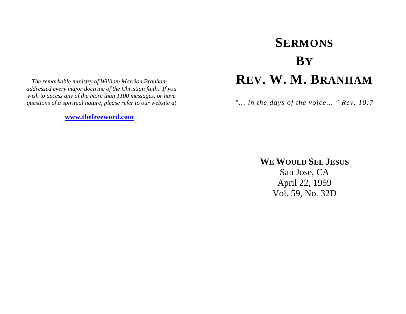*The remarkable ministry of William Marrion Branham addressed every major doctrine of the Christian faith. If you wish to access any of the more than 1100 messages, or have questions of a spiritual nature, please refer to our website at* 

**[www.thefreeword.com](http://www.thefreeword.com/)**

# **SERMONS BYREV. W. M. BRANHAM**

*"... in the days of the voice... " Rev. 10:7* 

**WE WOULD SEE JESUS**

San Jose, CA April 22, 1959 Vol. 59, No. 32D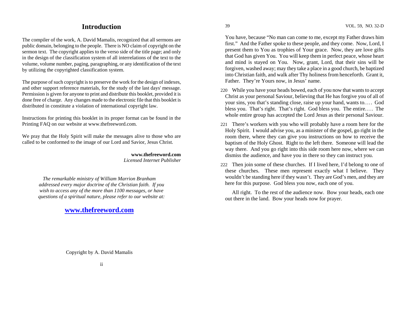# **Introduction**

The compiler of the work, A. David Mamalis, recognized that all sermons are public domain, belonging to the people. There is NO claim of copyright on the sermon text. The copyright applies to the verso side of the title page; and only in the design of the classification system of all interrelations of the text to the volume, volume number, paging, paragraphing, or any identification of the text by utilizing the copyrighted classification system.

The purpose of such copyright is to preserve the work for the design of indexes, and other support reference materials, for the study of the last days' message. Permission is given for anyone to print and distribute this booklet, provided it is done free of charge. Any changes made to the electronic file that this booklet is distributed in constitute a violation of international copyright law.

Instructions for printing this booklet in its proper format can be found in the Printing FAQ on our website at www.thefreeword.com.

We pray that the Holy Spirit will make the messages alive to those who are called to be conformed to the image of our Lord and Savior, Jesus Christ.

> **www.thefreeword.com** *Licensed Internet Publisher*

*The remarkable ministry of William Marrion Branham addressed every major doctrine of the Christian faith. If you wish to access any of the more than 1100 messages, or have questions of a spiritual nature, please refer to our website at:* 

**[www.thefreeword.com](http://www.thefreeword.com/)**

You have, because "No man can come to me, except my Father draws him first." And the Father spoke to these people, and they come. Now, Lord, I present them to You as trophies of Your grace. Now, they are love gifts that God has given You. You will keep them in perfect peace, whose heart and mind is stayed on You. Now, grant, Lord, that their sins will be forgiven, washed away; may they take a place in a good church, be baptized into Christian faith, and walk after Thy holiness from henceforth. Grant it, Father. They're Yours now, in Jesus' name.

- 220 While you have your heads bowed, each of you now that wants to accept Christ as your personal Saviour, believing that He has forgive you of all of your sins, you that's standing close, raise up your hand, wants to.... God bless you. That's right. That's right. God bless you. The entire.... The whole entire group has accepted the Lord Jesus as their personal Saviour.
- 221 There's workers with you who will probably have a room here for the Holy Spirit. I would advise you, as a minister of the gospel, go right in the room there, where they can give you instructions on how to receive the baptism of the Holy Ghost. Right to the left there. Someone will lead the way there. And you go right into this side room here now, where we can dismiss the audience, and have you in there so they can instruct you.
- 222 Then join some of these churches. If I lived here, I'd belong to one of these churches. These men represent exactly what I believe. They wouldn't be standing here if they wasn't. They are God's men, and they are here for this purpose. God bless you now, each one of you.

 All right. To the rest of the audience now. Bow your heads, each one out there in the land. Bow your heads now for prayer.

Copyright by A. David Mamalis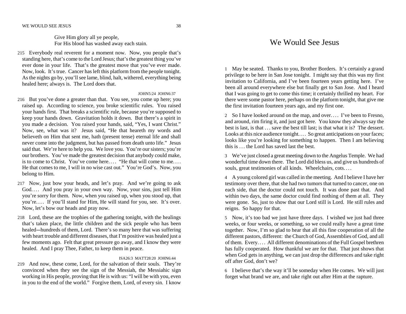#### WE WOULD SEE JESUS 38

 Give Him glory all ye people, For His blood has washed away each stain.

215 Everybody real reverent for a moment now. Now, you people that's standing here, that's come to the Lord Jesus; that's the greatest thing you've ever done in your life. That's the greatest move that you've ever made. Now, look. It's true. Cancer has left this platform from the people tonight. As the nights go by, you'll see lame, blind, halt, withered, everything being healed here; always is. The Lord does that.

#### JOHN5:24 JOHN6:37

- 216 But you've done a greater than that. You see, you come up here; you raised up. According to science, you broke scientific rules. You raised your hands first. That breaks a scientific rule, because you're supposed to keep your hands down. Gravitation holds it down. But there's a spirit in you made a decision. You raised your hands, said, "Yes, I want Christ." Now, see, what was it? Jesus said, "He that heareth my words and believeth on Him that sent me, hath (present tense) eternal life and shall never come into the judgment, but has passed from death unto life." Jesus said that. We're here to help you. We love you. You're our sisters; you're our brothers. You've made the greatest decision that anybody could make, is to come to Christ. You've come here.... "He that will come to me.... He that comes to me, I will in no wise cast out." You're God's. Now, you belong to Him.
- 217 Now, just bow your heads, and let's pray. And we're going to ask God.... And you pray in your own way. Now, your sins, just tell Him you're sorry for them. Now, when you raised up, when you stood up, that you're.... If you'll stand for Him, He will stand for you, see. It's over. Now, let's bow our heads and pray now.
- 218 Lord, these are the trophies of the gathering tonight, with the healings that's taken place, the little children and the sick people who has been healed—hundreds of them, Lord. There's so many here that was suffering with heart trouble and different diseases, that I'm positive was healed just a few moments ago. Felt that great pressure go away, and I know they were healed. And I pray Thee, Father, to keep them in peace.

### ISA26:3 MATT28:20 JOHN6:44

219 And now, these come, Lord, for the salvation of their souls. They're convinced when they see the sign of the Messiah, the Messiahic sign working in His people, proving that He is with us: "I will be with you, even in you to the end of the world." Forgive them, Lord, of every sin. I know

# We Would See Jesus

1 May be seated. Thanks to you, Brother Borders. It's certainly a grand privilege to be here in San Jose tonight. I might say that this was my first invitation to California, and I've been fourteen years getting here. I've been all around everywhere else but finally get to San Jose. And I heard that I was going to get to come this time; it certainly thrilled my heart. For there were some pastor here, perhaps on the platform tonight, that give me the first invitation fourteen years ago, and my first one.

2 So I have looked around on the map, and over.... I've been to Fresno, and around, rim firing it, and just got here. You know they always say the best is last, is that . . . save the best till last; is that what it is? The dessert. Looks at this nice audience tonight.... So great anticipations on your faces; looks like you're looking for something to happen. Then I am believing this is . . . the Lord has saved last the best.

3 We've just closed a great meeting down to the Angelus Temple. We had wonderful time down there. The Lord did bless us, and give us hundreds of souls, great testimonies of all kinds. Wheelchairs, cots....

4 A young colored girl was called in the meeting. And I believe I have her testimony over there, that she had two tumors that turned to cancer, one on each side, that the doctor could not touch. It was done past that. And within two days, the same doctor could find nothing of them at all. They were gone. So, just to show that our Lord still is Lord. He still rules and reigns. So happy for that.

5 Now, it's too bad we just have three days. I wished we just had three weeks, or four weeks, or something, so we could really have a great time together. Now, I'm so glad to hear that all this fine cooperation of all the different pastors, different: the Church of God, Assemblies of God, and all of them. Every. . . . All different denominations of the Full Gospel brethren has fully cooperated. How thankful we are for that. That just shows that when God gets in anything, we can just drop the differences and take right off after God, don't we?

6 I believe that's the way it'll be someday when He comes. We will just forget what brand we are, and take right out after Him at the rapture.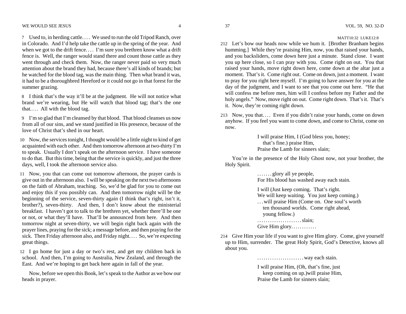7 Used to, in herding cattle. . . . We used to run the old Tripod Ranch, over in Colorado. And I'd help take the cattle up in the spring of the year. And when we got to the drift fence.... I'm sure you brethren know what a drift fence is. Well, the ranger would stand there and count those cattle as they went through and check them. Now, the ranger never paid so very much attention about the brand they had, because there's all kinds of brands; but he watched for the blood tag, was the main thing. Then what brand it was, it had to be a thoroughbred Hereford or it could not go in that forest for the summer grazing.

8 I think that's the way it'll be at the judgment. He will not notice what brand we're wearing, but He will watch that blood tag; that's the one that.... All with the blood tag.

9 I'm so glad that I'm cleansed by that blood. That blood cleanses us now from all of our sins, and we stand justified in His presence, because of the love of Christ that's shed in our heart.

10 Now, the services tonight, I thought would be a little night to kind of get acquainted with each other. And then tomorrow afternoon at two-thirty I'm to speak. Usually I don't speak on the afternoon service. I have someone to do that. But this time, being that the service is quickly, and just the three days, well, I took the afternoon service also.

11 Now, you that can come out tomorrow afternoon, the prayer cards is give out in the afternoon also. I will be speaking on the next two afternoons on the faith of Abraham, teaching. So, we'd be glad for you to come out and enjoy this if you possibly can. And then tomorrow night will be the beginning of the service, seven-thirty again (I think that's right, isn't it, brother?), seven-thirty. And then, I don't know about the ministerial breakfast. I haven't got to talk to the brethren yet, whether there'll be one or not, or what they'll have. That'll be announced from here. And then tomorrow night at seven-thirty, we will begin right back again with the prayer lines, praying for the sick; a message before, and then praying for the sick. Then Friday afternoon also, and Friday night.... So, we're expecting great things.

12 I go home for just a day or two's rest, and get my children back in school. And then, I'm going to Australia, New Zealand, and through the East. And we're hoping to get back here again in fall of the year.

 Now, before we open this Book, let's speak to the Author as we bow our heads in prayer.

#### MATT10:32 LUKE12:8

- 212 Let's bow our heads now while we hum it. [Brother Branham begins humming.] While they're praising Him, now, you that raised your hands, and you backsliders, come down here just a minute. Stand close. I want you up here close, so I can pray with you. Come right on out. You that raised your hands, move right down here, come down at the altar just a moment. That's it. Come right out. Come on down, just a moment. I want to pray for you right here myself. I'm going to have answer for you at the day of the judgment, and I want to see that you come out here. "He that will confess me before men, him will I confess before my Father and the holy angels." Now, move right on out. Come right down. That's it. That's it. Now, they're coming right down.
- 213 Now, you that.... Even if you didn't raise your hands, come on down anyhow. If you feel you want to come down, and come to Christ, come on now.

 I will praise Him, I (God bless you, honey; that's fine.) praise Him, Praise the Lamb for sinners slain;

 You're in the presence of the Holy Ghost now, not your brother, the Holy Spirit.

> .......glory all ye people, For His blood has washed away each stain.

 I will (Just keep coming. That's right. We will keep waiting. You just keep coming.) ...will praise Him (Come on. One soul's worth ten thousand worlds. Come right ahead, young fellow.) . . . . . . . . . . . . . . . . . . . . . slain;

Give Him glory............

214 Give Him your life if you want to give Him glory. Come, give yourself up to Him, surrender. The great Holy Spirit, God's Detective, knows all about you.

. . . . . . . . . . . . . . . . . . . . . . way each stain.

 I will praise Him, (Oh, that's fine, just keep coming on up.)will praise Him, Praise the Lamb for sinners slain;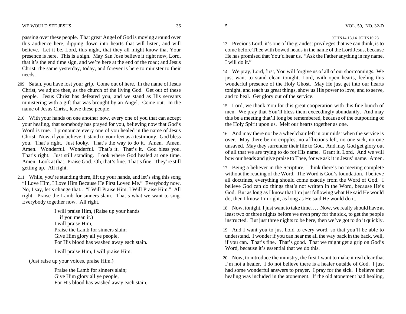passing over these people. That great Angel of God is moving around over this audience here, dipping down into hearts that will listen, and will believe. Let it be, Lord, this night, that they all might know that Your presence is here. This is a sign. May San Jose believe it right now, Lord, that it's the end time sign, and we're here at the end of the road; and Jesus Christ, the same yesterday, today, and forever is here to minister to their needs.

- 209 Satan, you have lost your grip. Come out of here. In the name of Jesus Christ, we adjure thee, as the church of the living God. Get out of these people. Jesus Christ has defeated you, and we stand as His servants ministering with a gift that was brought by an Angel. Come out. In the name of Jesus Christ, leave these people.
- 210 With your hands on one another now, every one of you that can accept your healing, that somebody has prayed for you, believing now that God's Word is true. I pronounce every one of you healed in the name of Jesus Christ. Now, if you believe it, stand to your feet as a testimony. God bless you. That's right. Just looky. That's the way to do it. Amen. Amen. Amen. Wonderful. Wonderful. That's it. That's it. God bless you. That's right. Just still standing. Look where God healed at one time. Amen. Look at that. Praise God. Oh, that's fine. That's fine. They're still getting up. All right.
- 211 While, you're standing there, lift up your hands, and let's sing this song "I Love Him, I Love Him Because He First Loved Me." Everybody now. No, I say, let's change that.. "I Will Praise Him, I Will Praise Him." All right. Praise the Lamb for sinners slain. That's what we want to sing. Everybody together now. All right.

 I will praise Him, (Raise up your hands if you mean it.) I will praise Him, Praise the Lamb for sinners slain; Give Him glory all ye people, For His blood has washed away each stain.

I will praise Him, I will praise Him,

(Just raise up your voices, praise Him.)

 Praise the Lamb for sinners slain; Give Him glory all ye people, For His blood has washed away each stain.

#### JOHN14:13,14 JOHN16:23

13 Precious Lord, it's one of the grandest privileges that we can think, is to come before Thee with bowed heads in the name of the Lord Jesus, because He has promised that You'd hear us. "Ask the Father anything in my name, I will do it."

14 We pray, Lord, first, You will forgive us of all of our shortcomings. We just want to stand clean tonight, Lord, with open hearts, feeling this wonderful presence of the Holy Ghost. May He just get into our hearts tonight, and teach us great things, show us His power to love, and to serve, and to heal. Get glory out of the service.

15 Lord, we thank You for this great cooperation with this fine bunch of men. We pray that You'll bless them exceedingly abundantly. And may this be a meeting that'll long be remembered, because of the outpouring of the Holy Spirit upon us. Melt our hearts together as one.

16 And may there not be a wheelchair left in our midst when the service is over. May there be no cripples, no afflictions left, no one sick, no one unsaved. May they surrender their life to God. And may God get glory out of all that we are trying to do for His name. Grant it, Lord. And we will bow our heads and give praise to Thee, for we ask it in Jesus' name. Amen.

17 Being a believer in the Scripture, I think there's no meeting complete without the reading of the Word. The Word is God's foundation. I believe all doctrines, everything should come exactly from the Word of God. I believe God can do things that's not written in the Word, because He's God. But as long as I know that I'm just following what He said He would do, then I know I'm right, as long as He said He would do it.

18 Now, tonight, I just want to take time. . . . Now, we really should have at least two or three nights before we even pray for the sick, to get the people instructed. But just three nights to be here, then we've got to do it quickly.

19 And I want you to just hold to every word, so that you'll be able to understand. I wonder if you can hear me all the way back in the back, well, if you can. That's fine. That's good. That we might get a grip on God's Word, because it's essential that we do this.

20 Now, to introduce the ministry, the first I want to make it real clear that I'm not a healer. I do not believe there is a healer outside of God. I just had some wonderful answers to prayer. I pray for the sick. I believe that healing was included in the atonement. If the old atonement had healing,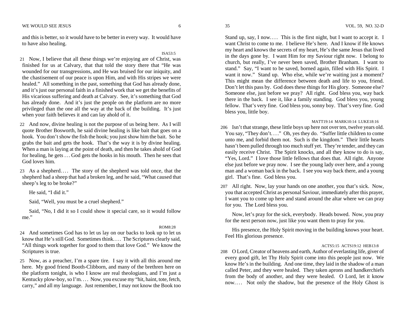and this is better, so it would have to be better in every way. It would have to have also healing.

21 Now, I believe that all these things we're enjoying are of Christ, was finished for us at Calvary, that that told the story there that "He was wounded for our transgressions, and He was bruised for our iniquity, and the chastisement of our peace is upon Him, and with His stripes we were healed." All something in the past, something that God has already done, and it's just our personal faith in a finished work that we get the benefits of His vicarious suffering and death at Calvary. See, it's something that God has already done. And it's just the people on the platform are no more privileged than the one all the way at the back of the building. It's just when your faith believes it and can lay ahold of it.

22 And now, divine healing is not the purpose of us being here. As I will quote Brother Bosworth, he said divine healing is like bait that goes on a hook. You don't show the fish the hook; you just show him the bait. So he grabs the bait and gets the hook. That's the way it is by divine healing. When a man is laying at the point of death, and then he takes ahold of God for healing, he gets . . . God gets the hooks in his mouth. Then he sees that God loves him.

23 As a shepherd.... The story of the shepherd was told once, that the shepherd had a sheep that had a broken leg, and he said, "What caused that sheep's leg to be broke?"

He said, "I did it."

Said, "Well, you must be a cruel shepherd."

 Said, "No, I did it so I could show it special care, so it would follow me."

# ROM8:28

ISA53:5

24 And sometimes God has to let us lay on our backs to look up to let us know that He's still God. Sometimes think.... The Scriptures clearly said, "All things work together for good to them that love God." We know the Scriptures is true.

25 Now, as a preacher, I'm a spare tire. I say it with all this around me here. My good friend Booth-Clibborn, and many of the brethren here on the platform tonight, is who I know are real theologians, and I'm just a Kentucky plow-boy, so I'm.... Now, you excuse my "hit, haint, tote, fetch, carry," and all my language. Just remember, I may not know the Book too

Stand up, say, I now.... This is the first night, but I want to accept it. I want Christ to come to me. I believe He's here. And I know if He knows my heart and knows the secrets of my heart, He's the same Jesus that lived in the days gone by. I want Him for my Saviour right now. I belong to church, but really, I've never been saved, Brother Branham. I want to stand." Say, "I want to be saved, borned again, filled with His Spirit. I want it now." Stand up. Who else, while we're waiting just a moment? This might mean the difference between death and life to you, friend. Don't let this pass by. God does these things for His glory. Someone else? Someone else, just before we pray? All right. God bless you, way back there in the back. I see it, like a family standing. God bless you, young fellow. That's very fine. God bless you, sonny boy. That's very fine. God bless you, little boy.

# MATT19:14 MARK10:14 LUKE18:16

206 Isn't that strange, these little boys up here not over ten, twelve years old. You say, "They don't...." Oh, yes they do. "Suffer little children to come unto me, and forbid them not. Such is the kingdom." Their little hearts hasn't been pulled through too much stuff yet. They're tender, and they can easily receive Christ. The Spirit knocks, and all they know to do is say, "Yes, Lord." I love those little fellows that does that. All right. Anyone else just before we pray now. I see the young lady over here, and a young man and a woman back in the back. I see you way back there, and a young girl. That's fine. God bless you.

207 All right. Now, lay your hands on one another, you that's sick. Now, you that accepted Christ as personal Saviour, immediately after this prayer, I want you to come up here and stand around the altar where we can pray for you. The Lord bless you.

 Now, let's pray for the sick, everybody. Heads bowed. Now, you pray for the next person now, just like you want them to pray for you.

 His presence, the Holy Spirit moving in the building knows your heart. Feel His glorious presence.

# ACTS5:15 ACTS19:12 HEB13:8

208 O Lord, Creator of heavens and earth, Author of everlasting life, giver of every good gift, let Thy Holy Spirit come into this people just now. We know He's in the building. And one time, they laid in the shadow of a man called Peter, and they were healed. They taken aprons and handkerchiefs from the body of another, and they were healed. O Lord, let it know now.... Not only the shadow, but the presence of the Holy Ghost is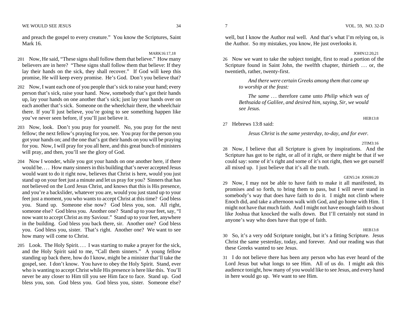and preach the gospel to every creature." You know the Scriptures, Saint Mark 16.

#### MARK16:17,18

- 201 Now, He said, "These signs shall follow them that believe." How many believers are in here? "These signs shall follow them that believe: If they lay their hands on the sick, they shall recover." If God will keep this promise, He will keep every promise. He's God. Don't you believe that?
- 202 Now, I want each one of you people that's sick to raise your hand; every person that's sick, raise your hand. Now, somebody that's got their hands up, lay your hands on one another that's sick; just lay your hands over on each another that's sick. Someone on the wheelchair there, the wheelchair there. If you'll just believe, you're going to see something happen like you've never seen before, if you'll just believe it.
- 203 Now, look. Don't you pray for yourself. No, you pray for the next fellow; the next fellow's praying for you, see. You pray for the person you got your hands on; and the one that's got their hands on you will be praying for you. Now, I will pray for you all here, and this great bunch of ministers will pray, and then, you'll see the glory of God.
- 204 Now I wonder, while you got your hands on one another here, if there would be.... How many sinners in this building that's never accepted Jesus would want to do it right now, believes that Christ is here, would you just stand up on your feet just a minute and let us pray for you? Sinners that has not believed on the Lord Jesus Christ, and knows that this is His presence, and you're a backslider, whatever you are, would you just stand up to your feet just a moment, you who wants to accept Christ at this time? God bless you. Stand up. Someone else now? God bless you, son. All right, someone else? God bless you. Another one? Stand up to your feet, say, "I now want to accept Christ as my Saviour." Stand up to your feet, anywhere in the building. God bless you back there, sir. Another one? God bless you. God bless you, sister. That's right. Another one? We want to see how many will come to Christ.
- 205 Look. The Holy Spirit.... I was starting to make a prayer for the sick, and the Holy Spirit said to me, "Call them sinners." A young fellow standing up back there, how do I know, might be a minister that'll take the gospel, see. I don't know. You have to obey the Holy Spirit. Stand, ever who is wanting to accept Christ while His presence is here like this. You'll never be any closer to Him till you see Him face to face. Stand up. God bless you, son. God bless you. God bless you, sister. Someone else?

#### JOHN12:20,21

26 Now we want to take the subject tonight, first to read a portion of the Scripture found in Saint John, the twelfth chapter, thirtieth ... or, the twentieth, rather, twenty-first.

 *And there were certain Greeks among them that came up to worship at the feast:* 

 *The same* . . . therefore came unto *Philip which was of Bethsaida of Galilee, and desired him, saying, Sir, we would see Jesus.* 

# 27 Hebrews 13:8 said:

 *Jesus Christ* is *the same yesterday, to-day, and for ever.* 

2TIM3:16

HEB13:8

28 Now, I believe that all Scripture is given by inspirations. And the Scripture has got to be right, or all of it right, or there might be that if we could say: some of it's right and some of it's not right, then we get ourself all mixed up. I just believe that it's all the truth.

# GEN5:24 JOSH6:20

29 Now, I may not be able to have faith to make it all manifested, its promises and so forth, to bring them to pass, but I will never stand in somebody's way that does have faith to do it. I might not climb where Enoch did, and take a afternoon walk with God, and go home with Him. I might not have that much faith. And I might not have enough faith to shout like Joshua that knocked the walls down. But I'll certainly not stand in anyone's way who does have that type of faith.

#### HEB13:8

30 So, it's a very odd Scripture tonight, but it's a fitting Scripture. Jesus Christ the same yesterday, today, and forever. And our reading was that these Greeks wanted to see Jesus.

31 I do not believe there has been any person who has ever heard of the Lord Jesus but what longs to see Him. All of us do. I might ask this audience tonight, how many of you would like to see Jesus, and every hand in here would go up. We want to see Him.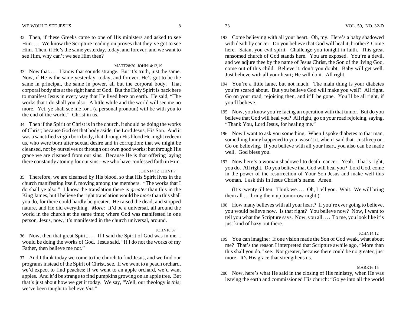32 Then, if these Greeks came to one of His ministers and asked to see Him.... We know the Scripture reading on proves that they've got to see Him. Then, if He's the same yesterday, today, and forever, and we want to see Him, why can't we see Him then?

# MATT28:20 JOHN14:12,19

- 33 Now that. . . . I know that sounds strange. But it's truth, just the same. Now, if He is the same yesterday, today, and forever, He's got to be the same in principal, the same in power, all but the corporal body. That corporal body sits at the right hand of God. But the Holy Spirit is back here to manifest Jesus in every way that He lived here on earth. He said, "The works that I do shall you also. A little while and the world will see me no more. Yet, ye shall see me for I (a personal pronoun) will be with you to the end of the world." Christ in us.
- 34 Then if the Spirit of Christ is in the church, it should be doing the works of Christ; because God set that body aside, the Lord Jesus, His Son. And it was a sanctified virgin born body, that through His blood He might redeem us, who were born after sexual desire and in corruption; that we might be cleansed, not by ourselves or through our own good works; but through His grace we are cleansed from our sins. Because He is that offering laying there constantly atoning for our sins-we who have confessed faith in Him.

# JOHN14:12 1JHN1:7

35 Therefore, we are cleansed by His blood, so that His Spirit lives in the church manifesting itself, moving among the members. "The works that I do shall ye also." I know the translation there is *greater* than this in the King James, but I believe the right translation would be *more* than this shall you do, for there could hardly be greater. He raised the dead, and stopped nature, and He did everything. *More*: It'd be a universal, all around the world in the church at the same time; where God was manifested in one person, Jesus, now, it's manifested in the church universal, around.

# JOHN10:37

- 36 Now, then that great Spirit. . . . If I said the Spirit of God was in me, I would be doing the works of God. Jesus said, "If I do not the works of my Father, then believe me not."
- 37 And I think today we come to the church to find Jesus, and we find our programs instead of the Spirit of Christ, see. If we went to a peach orchard, we'd expect to find peaches; if we went to an apple orchard, we'd want apples. And it'd be strange to find pumpkins growing on an apple tree. But that's just about how we get it today. We say, "Well, our theology is *this*; we've been taught to believe *this*."
- 
- 193 Come believing with all your heart. Oh, my. Here's a baby shadowed with death by cancer. Do you believe that God will heal it, brother? Come here. Satan, you evil spirit. Challenge you tonight in faith. This great ransomed church of God stands here. You are exposed. You're a devil, and we adjure thee by the name of Jesus Christ, the Son of the living God, come out of this child. Believe it; don't you doubt. Baby will get well. Just believe with all your heart; He will do it. All right.
- 194 You're a little lame, but not much. The main thing is your diabetes you're scared about. But you believe God will make you well? All right. Go on your road, rejoicing then, and it'll be gone. You'll be all right, if you'll believe.
- 195 Now, you know you're facing an operation with that tumor. But do you believe that God will heal you? All right, go on your road rejoicing, saying, "Thank You, Lord Jesus, for healing me."
- 196 Now I want to ask you something. When I spoke diabetes to that man, something funny happened to you, wasn't it, when I said that. Just keep on. Go on believing. If you believe with all your heart, you also can be made well. God bless you.
- 197 Now here's a woman shadowed to death: cancer. Yeah. That's right, you do. All right. Do you believe that God will heal you? Lord God, come in the power of the resurrection of Your Son Jesus and make well this woman. I ask this in Jesus Christ's name. Amen.

 (It's twenty till ten. Think we. . . . Oh, I tell you. Wait. We will bring them all ... bring them up tomorrow night.)

198 How many believes with all your heart? If you're ever going to believe, you would believe now. Is that right? You believe now? Now, I want to tell you what the Scripture says. Now, you all.... To me, you look like it's just kind of hazy out there.

# JOHN14:12

199 You can imagine: If one vision made the Son of God weak, what about me? That's the reason I interpreted that Scripture awhile ago, "More than this shall you do," see. Not greater, because there could be no greater, just more. It's His grace that strengthens us.

# MARK16:15

200 Now, here's what He said in the closing of His ministry, when He was leaving the earth and commissioned His church: "Go ye into all the world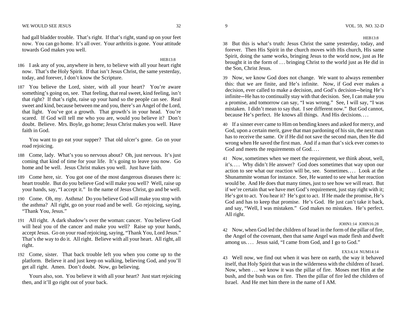had gall bladder trouble. That's right. If that's right, stand up on your feet now. You can go home. It's all over. Your arthritis is gone. Your attitude towards God makes you well.

HEB13:8

- 186 I ask any of you, anywhere in here, to believe with all your heart right now. That's the Holy Spirit. If that isn't Jesus Christ, the same yesterday, today, and forever, I don't know the Scripture.
- 187 You believe the Lord, sister, with all your heart? You're aware something's going on, see. That feeling, that real sweet, kind feeling, isn't that right? If that's right, raise up your hand so the people can see. Real sweet and kind, because between me and you, there's an Angel of the Lord, that light. You've got a growth. That growth's in your head. You're scared. If God will tell me who you are, would you believe it? Don't doubt. Believe. Mrs. Boyle, go home; Jesus Christ makes you well. Have faith in God.

 You want to go eat your supper? That old ulcer's gone. Go on your road rejoicing.

- 188 Come, lady. What's you so nervous about? Oh, just nervous. It's just coming that kind of time for your life. It's going to leave you now. Go home and be well. Jesus Christ makes you well. Just have faith.
- 189 Come here, sir. You got one of the most dangerous diseases there is: heart trouble. But do you believe God will make you well? Well, raise up your hands, say, "I accept it." In the name of Jesus Christ, go and be well.
- 190 Come. Oh, my. Asthma! Do you believe God will make you stop with the asthma? All right, go on your road and be well. Go rejoicing, saying, "Thank You, Jesus."
- 191 All right. A dark shadow's over the woman: cancer. You believe God will heal you of the cancer and make you well? Raise up your hands, accept Jesus. Go on your road rejoicing, saying, "Thank You, Lord Jesus." That's the way to do it. All right. Believe with all your heart. All right, all right.
- 192 Come, sister. That back trouble left you when you come up to the platform. Believe it and just keep on walking, believing God, and you'll get all right. Amen. Don't doubt. Now, go believing.

 Yours also, son. You believe it with all your heart? Just start rejoicing then, and it'll go right out of your back.

HEB13:8

38 But this is what's truth: Jesus Christ the same yesterday, today, and forever. Then His Spirit in the church moves with His church, His same Spirit, doing the same works, bringing Jesus to the world now, just as He brought it in the form of . . . bringing Christ to the world just as He did in the Son, Christ Jesus.

39 Now, we know God does not change. We want to always remember this: that we are finite, and He's infinite. Now, if God ever makes a decision, ever called to make a decision, and God's decision-being He's infinite—He has to continually stay with that decision. See, I can make you a promise, and tomorrow can say, "I was wrong." See, I will say, "I was mistaken. I didn't mean to say that. I see different now." But God cannot, because He's perfect. He knows all things. And His decisions. . . .

40 If a sinner ever came to Him on bending knees and asked for mercy, and God, upon a certain merit, gave that man pardoning of his sin, the next man has to receive the same. Or if He did not save the second man, then He did wrong when He saved the first man. And if a man that's sick ever comes to God and meets the requirements of God....

41 Now, sometimes when we meet the requirement, we think about, well, it's.... Why didn't He answer? God does sometimes that way upon our action to see what our reaction will be, see. Sometimes. . . . Look at the Shunammite woman for instance. See, He wanted to see what her reaction would be. And He does that many times, just to see how we will react. But if we're certain that we have met God's requirement, just stay right with it; He's got to act. You hear it? He's got to act. If He made the promise, He's God and has to keep that promise. He's God. He just can't take it back, and say, "Well, I was mistaken." God makes no mistakes. He's perfect. All right.

# JOHN1:14 JOHN16:28

42 Now, when God led the children of Israel in the form of the pillar of fire, the Angel of the covenant, then that same Angel was made flesh and dwelt among us.... Jesus said, "I came from God, and I go to God."

#### EX3:4,14 NUM14:14

43 Well now, we find out when it was here on earth, the way it behaved itself, that Holy Spirit that was in the wilderness with the children of Israel. Now, when . . . we know it was the pillar of fire. Moses met Him at the bush, and the bush was on fire. Then the pillar of fire led the children of Israel. And He met him there in the name of I AM.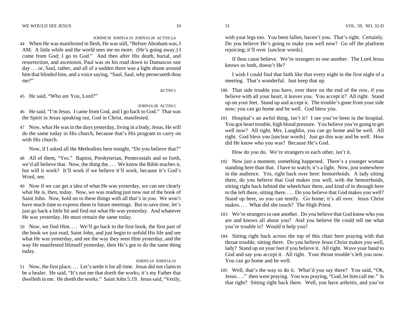# JOHN8:58 JOHN14:19 JOHN16:28 ACTS9:3,4

44 When He was manifested in flesh, He was still, "Before Abraham was, I AM. A little while and the world sees me no more. (He's going away.) I come from God; I go to God." And then after His death, burial, and resurrection, and ascension, Paul was on his road down to Damascus one day ... or, Saul, rather, and all of a sudden there was a light shone around him that blinded him, and a voice saying, "Saul, Saul, why persecuteth thou me?"

ACTS9:5

45 He said, "Who are You, Lord?"

JOHN16:28 ACTS9:5

46 He said, "I'm Jesus. I came from God, and I go back to God." That was the Spirit in Jesus speaking out, God in Christ, manifested.

47 Now, what He was in the days yesterday, living in a body, Jesus, He will do the same today in His church, because that's His program to carry on with His church.

Now, if I asked all the Methodists here tonight, "Do you believe that?"

- 48 All of them, "Yes." Baptist, Presbyterian, Pentecostals and so forth, we'd all believe that. Now, the thing the. . . . We know the Bible teaches it, but will it work? It'll work if we believe it'll work, because it's God's Word, see.
- 49 Now if we can get a idea of what He was yesterday, we can see clearly what He is, then, today. Now, we was reading just now out of the book of Saint John. Now, hold on to these things with all that's in you. We won't have much time to express them in future meetings. But to save time, let's just go back a little bit and find out what He was yesterday. And whatever He was yesterday, He must remain the same today.
- 50 Now, we find Him.... We'll go back to the first book, the first part of the book we just read, Saint John, and just begin to unfold His life and see what He was yesterday, and see the way they seen Him yesterday, and the way He manifested Himself yesterday, then He's got to do the same thing today.

# JOHN5:19 JOHN14:10

51 Now, the first place. . . . Let's settle it for all time. Jesus did not claim to be a healer. He said, "It's not me that doeth the works; it's my Father that dwelleth in me. He doeth the works." Saint John 5:19. Jesus said, "Verily,

with your legs too. You been fallen, haven't you. That's right. Certainly. Do you believe He's going to make you well now? Go off the platform rejoicing; it'll over [unclear words].

 If thou canst believe. We're strangers to one another. The Lord Jesus knows us both, doesn't He?

 I wish I could find that faith like that every night in the first night of a meeting. That's wonderful. Just keep that up.

- 180 That side trouble you have, over there on the end of the row, if you believe with all your heart, it leaves you. You accept it? All right. Stand up on your feet. Stand up and accept it. The trouble's gone from your side now; you can go home and be well. God bless you.
- 181 Hospital's an awful thing, isn't it? I see you've been in the hospital. You got heart trouble, high blood pressure. You believe you're going to get well now? All right, Mrs. Laughlin, you can go home and be well. All right. God bless you [unclear words]. Just go this way and be well. How did He know who you was? Because He's God.

How do you do. We're strangers to each other, isn't it.

- 182 Now just a moment, something happened. There's a younger woman standing here than that. I have to watch; it's a light. Now, just somewhere in the audience. Yes, right back over here: hemorrhoids. A lady sitting there, do you believe that God makes you well, with the hemorrhoids, sitting right back behind the wheelchair there, and kind of in through here to the left there, sitting there. . . . Do you believe that God makes you well? Stand up here, so you can testify. Go home; it's all over. Jesus Christ makes.... What did she touch? The High Priest.
- 183 We're strangers to one another. Do you believe that God know who you are and knows all about you? And you believe He could tell me what you're trouble is? Would it help you?
- 184 Sitting right back across the top of this chair here praying with that throat trouble, sitting there. Do you believe Jesus Christ makes you well, lady? Stand up on your feet if you believe it. All right. Wave your hand to God and say you accept it. All right. Your throat trouble's left you now. You can go home and be well.
- 185 Well, that's the way to do it. What'd you say there? You said, "Oh, Jesus. . . ." then were praying. You was praying, "God, let him call me." Is that right? Sitting right back there. Well, you have arthritis, and you've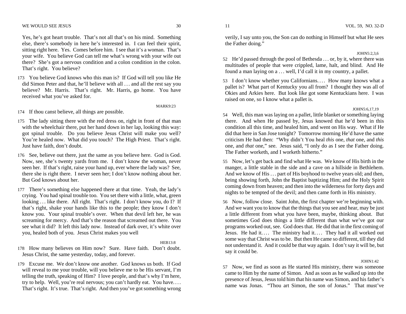Yes, he's got heart trouble. That's not all that's on his mind. Something else, there's somebody in here he's interested in. I can feel their spirit, sitting right here. Yes. Comes before him. I see that it's a woman. That's your wife. You believe God can tell me what's wrong with your wife out there? She's got a nervous condition and a colon condition in the colon. That's right. You believe?

173 You believe God knows who this man is? If God will tell you like He did Simon Peter and that, he'll believe with all . . . and all the rest say you believe? Mr. Harris. That's right. Mr. Harris, go home. You have received what you've asked for.

MARK9:23

- 174 If thou canst believe, all things are possible.
- 175 The lady sitting there with the red dress on, right in front of that man with the wheelchair there, put her hand down in her lap, looking this way: got spinal trouble. Do you believe Jesus Christ will make you well? You're healed now. What did you touch? The High Priest. That's right. Just have faith, don't doubt.
- 176 See, believe out there, just the same as you believe here. God is God. Now, see, she's twenty yards from me. I don't know the woman, never seen her. If that's right, raise your hand up, ever where the lady was? See, there she is right there. I never seen her; I don't know nothing about her. But God knows about her.
- 177 There's something else happened there at that time. Yeah, the lady's crying. You had spinal trouble too. You set there with a little, what, green looking ... like there. All right. That's right. I don't know you, do I? If that's right, shake your hands like this to the people; they know I don't know you. Your spinal trouble's over. When that devil left her, he was screaming for mercy. And that's the reason that screamed out there. You see what it did? It left this lady now. Instead of dark over, it's white over you, healed both of you. Jesus Christ makes you well

#### HEB13:8

- 178 How many believes on Him now? Sure. Have faith. Don't doubt. Jesus Christ, the same yesterday, today, and forever.
- 179 Excuse me. We don't know one another. God knows us both. If God will reveal to me your trouble, will you believe me to be His servant, I'm telling the truth, speaking of Him? I love people, and that's why I'm here, try to help. Well, you're real nervous; you can't hardly eat. You have.... That's right. It's true. That's right. And then you've got something wrong

#### JOHN5:2,3,6

52 He'd passed through the pool of Bethesda . . . or, by it, where there was multitudes of people that were crippled, lame, halt, and blind. And He found a man laying on a ... well, I'd call it in my country, a pallet.

53 I don't know whether you Californians.... How many knows what a pallet is? What part of Kentucky you all from? I thought they was all of Okies and Arkies here. But look like got some Kentuckians here. I was raised on one, so I know what a pallet is.

#### JOHN5:6,17,19

54 Well, this man was laying on a pallet, little blanket or something laying there. And when He passed by, Jesus knowed that he'd been in this condition all this time, and healed him, and went on His way. What if He did that here in San Jose tonight? Tomorrow morning He'd have the same criticism He had then: "Why didn't You heal *this* one, *that* one, and *this* one, and *that* one," see. Jesus said, "I only do as I see the Father doing. The Father worketh, and I worketh hitherto."

55 Now, let's get back and find what He was. We know of His birth in the manger, a little stable in the side and a cave on a hillside in Bethlehem. And we know of His ... part of His boyhood to twelve years old; and then, being showing forth, John the Baptist baptizing Him; and the Holy Spirit coming down from heaven; and then into the wilderness for forty days and nights to be tempted of the devil; and then came forth in His ministry.

56 Now, follow close. Saint John, the first chapter we're beginning with. And we want you to know that the things that you see and hear, may be just a little different from what you have been, maybe, thinking about. But sometimes God does things a little different than what we've got our programs worked out, see. God does that. He did that in the first coming of Jesus. He had it.... The ministry had it.... They had it all worked out some way that Christ was to be. But then He came so different, till they did not understand it. And it could be that way again. I don't say it will be, but say it could be.

#### JOHN1:42

57 Now, we find as soon as He started His ministry, there was someone came to Him by the name of Simon. And as soon as he walked up into the presence of Jesus, Jesus told him that his name was Simon, and his father's name was Jonas. "Thou art Simon, the son of Jonas." That must've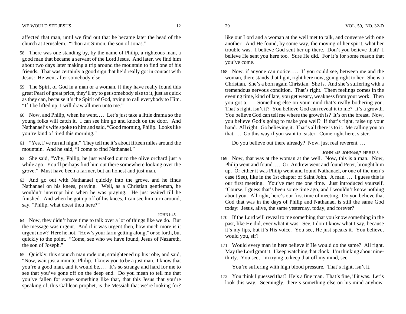#### WE WOULD SEE JESUS VOL. 59, NO. 32-D

affected that man, until we find out that he became later the head of the church at Jerusalem. "Thou art Simon, the son of Jonas."

- 58 There was one standing by, by the name of Philip, a righteous man, a good man that became a servant of the Lord Jesus. And later, we find him about two days later making a trip around the mountain to find one of his friends. That was certainly a good sign that he'd really got in contact with Jesus: He went after somebody else.
- 59 The Spirit of God in a man or a woman, if they have really found this great Pearl of great price, they'll try to get somebody else to it, just as quick as they can, because it's the Spirit of God, trying to call everybody to Him. "If I be lifted up, I will draw all men unto me."
- 60 Now, and Philip, when he went. . . . Let's just take a little drama so the young folks will catch it. I can see him go and knock on the door. And Nathanael's wife spoke to him and said, "Good morning, Philip. Looks like you're kind of tired this morning."
- <sup>61</sup>"Yes, I've run all night." They tell me it's about fifteen miles around the mountain. And he said, "I come to find Nathanael."
- 62 She said, "Why, Philip, he just walked out to the olive orchard just a while ago. You'll perhaps find him out there somewhere looking over the grove." Must have been a farmer, but an honest and just man.
- 63 And go out with Nathanael quickly into the grove, and he finds Nathanael on his knees, praying. Well, as a Christian gentleman, he wouldn't interrupt him when he was praying. He just waited till he finished. And when he got up off of his knees, I can see him turn around, say, "Philip, what doest thou here?"

#### JOHN1:45

64 Now, they didn't have time to talk over a lot of things like we do. But the message was urgent. And if it was urgent then, how much more is it urgent now? Here he not, "How's your farm getting along," or so forth, but quickly to the point. "Come, see who we have found, Jesus of Nazareth, the son of Joseph."

65 Quickly, this staunch man rode out, straightened up his robe, and said, "Now, wait just a minute, Philip. I know you to be a just man. I know that you're a good man, and it would be.... It's so strange and hard for me to see that you've gone off on the deep end. Do you mean to tell me that you've fallen for some something like that, that this Jesus that you're speaking of, this Galilean prophet, is the Messiah that we're looking for?

like our Lord and a woman at the well met to talk, and converse with one another. And He found, by some way, the moving of her spirit, what her trouble was. I believe God sent her up there. Don't you believe that? I believe He sent you here too. Sure He did. For it's for some reason that you've come.

168 Now, if anyone can notice.... If you could see, between me and the woman, there stands that light, right here now, going right to her. She is a Christian. She's a born again Christian. She is. And she's suffering with a tremendous nervous condition. That's right. Them feelings comes in the evening time, kind of late, you get weary, weakness from your work. Then you got a.... Something else on your mind that's really bothering you. That's right, isn't it? You believe God can reveal it to me? It's a growth. You believe God can tell me where the growth is? It's on the breast. Now, you believe God's going to make you well? If that's right, raise up your hand. All right. Go believing it. That's all there is to it. Me calling you on that.... Go this way if you want to, sister. Come right here, sister.

Do you believe out there already? Now, just real reverent....

# JOHN1:45 JOHN4:6,7 HEB13:8

- 169 Now, that was at the woman at the well. Now, this is a man. Now, Philip went and found.... Or, Andrew went and found Peter, brought him up. Or either it was Philip went and found Nathanael, or one of the men's case (See), like in the 1st chapter of Saint John. A man. . . . I guess this is our first meeting. You've met me one time. Just introduced yourself. 'Course, I guess that's been some time ago, and I wouldn't know nothing about you. All right, here's our first time of meeting. Do you believe that God that was in the days of Philip and Nathanael is still the same God today: Jesus, alive, the same yesterday, today, and forever?
- 170 If the Lord will reveal to me something that you know something in the past, like He did, ever what it was. See, I don't know what I say, because it's my lips, but it's His voice. You see, He just speaks it. You believe, would you, sir?
- 171 Would every man in here believe if He would do the same? All right. May the Lord grant it. I keep watching that clock. I'm thinking about ninethirty. You see, I'm trying to keep that off my mind, see.

You're suffering with high blood pressure. That's right, isn't it.

172 You think I guessed that? He's a fine man. That's fine, if it was. Let's look this way. Seemingly, there's something else on his mind anyhow.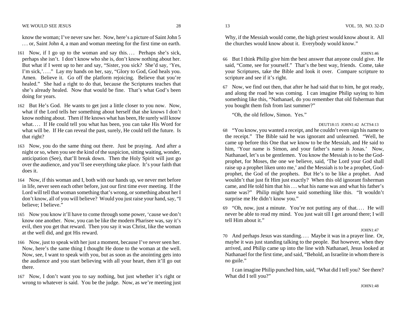know the woman; I've never saw her. Now, here's a picture of Saint John 5 . . . or, Saint John 4, a man and woman meeting for the first time on earth.

- 161 Now, if I go up to the woman and say this.... Perhaps she's sick, perhaps she isn't. I don't know who she is, don't know nothing about her. But what if I went up to her and say, "Sister, you sick? She'd say, 'Yes, I'm sick,'...." Lay my hands on her, say, "Glory to God, God heals you. Amen. Believe it. Go off the platform rejoicing. Believe that you're healed." She had a right to do that, because the Scriptures teaches that she's already healed. Now that would be fine. That's what God's been doing for years.
- 162 But He's God. He wants to get just a little closer to you now. Now, what if the Lord tells her something about herself that she knows I don't know nothing about. Then if He knows what has been, He surely will know what.... If He could tell you what has been, you can take His Word for what will be. If He can reveal the past, surely, He could tell the future. Is that right?
- 163 Now, you do the same thing out there. Just be praying. And after a night or so, when you see the kind of the suspicion, sitting waiting, wonder, anticipation (See), that'll break down. Then the Holy Spirit will just go over the audience, and you'll see everything take place. It's your faith that does it.
- 164 Now, if this woman and I, both with our hands up, we never met before in life, never seen each other before, just our first time ever meeting. If the Lord will tell that woman something that's wrong, or something about her I don't know, all of you will believe? Would you just raise your hand, say, "I believe; I believe."
- 165 Now you know it'll have to come through some power, 'cause we don't know one another. Now, you can be like the modern Pharisee was, say it's evil, then you get that reward. Then you say it was Christ, like the woman at the well did, and got His reward.
- 166 Now, just to speak with her just a moment, because I've never seen her. Now, here's the same thing I thought He done to the woman at the well. Now, see, I want to speak with you, but as soon as the anointing gets into the audience and you start believing with all your heart, then it'll go out there.
- 167 Now, I don't want you to say nothing, but just whether it's right or wrong to whatever is said. You be the judge. Now, as we're meeting just

Why, if the Messiah would come, the high priest would know about it. All the churches would know about it. Everybody would know."

JOHN1:46

66 But I think Philip give him the best answer that anyone could give. He said, "Come, see for yourself." That's the best way, friends. Come, take your Scriptures, take the Bible and look it over. Compare scripture to scripture and see if it's right.

67 Now, we find out then, that after he had said that to him, he got ready, and along the road he was coming. I can imagine Philip saying to him something like this, "Nathanael, do you remember that old fisherman that you bought them fish from last summer?"

"Oh, the old fellow, Simon. Yes."

# DEUT18:15 JOHN1:42 ACTS4:13

<sup>68</sup>"You know, you wanted a receipt, and he couldn't even sign his name to the receipt." The Bible said he was ignorant and unlearned. "Well, he came up before this One that we know to be the Messiah, and He said to him, 'Your name is Simon, and your father's name is Jonas.' Now, Nathanael, let's us be gentlemen. You know the Messiah is to be the Godprophet, for Moses, the one we believe, said, 'The Lord your God shall raise up a prophet liken unto me,' and the Messiah is to be a prophet, Godprophet, the God of the prophets. But He's to be like a prophet. And wouldn't that just fit Him just exactly? When this old ignorant fisherman came, and He told him that his . . . what his name was and what his father's name was?" Philip might have said something like this. "It wouldn't surprise me He didn't know you."

<sup>69</sup>"Oh, now, just a minute. You're not putting any of that. . . . He will never be able to read my mind. You just wait till I get around there; I will tell Him about it."

#### JOHN1:47

70 And perhaps Jesus was standing. . . . Maybe it was in a prayer line. Or, maybe it was just standing talking to the people. But however, when they arrived, and Philip came up into the line with Nathanael, Jesus looked at Nathanael for the first time, and said, "Behold, an Israelite in whom there is no guile."

 I can imagine Philip punched him, said, "What did I tell you? See there? What did I tell you?"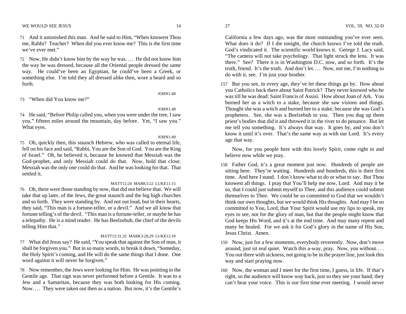71 And it astonished this man. And he said to Him, "When knowest Thou me, Rabbi? Teacher? When did you ever know me? This is the first time we've ever met."

72 Now, He didn't know him by the way he was. . . . He did not know him the way he was dressed, because all the Oriental people dressed the same way. He could've been an Egyptian, he could've been a Greek, or something else. I'm told they all dressed alike then, wore a beard and so forth.

73 "When did You know me?"

JOHN1:48

JOHN1:48

74 He said, "Before Philip called you, when you were under the tree, I saw you," fifteen miles around the mountain, day before. Yet, "I saw you." What eyes.

JOHN1:49

75 Oh, quickly then, this staunch Hebrew, who was called to eternal life, fell on his face and said, "Rabbi, You are the Son of God. You are the King of Israel." Oh, he believed it, because he knowed that Messiah was the God-prophet, and only Messiah could do that. Now, hold that close. Messiah was the only one could do that. And he was looking for that. That settled it.

# MATT12:24 MARK3:22 LUKE11:15

76 Oh, there were those standing by now, that did not believe that. We will take that up later, of the Jews, the great staunch and the big high churches and so forth. They were standing by. And not out loud, but in their hearts, they said, "This man is a fortune-teller, or a devil." And we all know that fortune telling's of the devil. "This man is a fortune-teller, or maybe he has a telepathy. He is a mind reader. He has Beelzebub, the chief of the devils telling Him that."

# MATT12:31,32 MARK3:28,29 LUKE12:10

77 What did Jesus say? He said, "You speak that against the Son of man, it shall be forgiven you." But in so many words, to break it down, "Someday, the Holy Spirit's coming, and He will do the same things that I done. One word against it will never be forgiven."

78 Now remember, the Jews were looking for Him. He was pointing to the Gentile age. That sign was never performed before a Gentile. It was to a Jew and a Samaritan, because they was both looking for His coming. Now.... They were taken out then as a nation. But now, it's the Gentile's

California a few days ago, was the most outstanding you've ever seen. What does it do? If I die tonight, the church knows I've told the truth. God's vindicated it. The scientific world knows it. George J. Lacy said, "The camera will not take psychology. That light struck the lens. It was there." See? There it is in Washington D.C. now, and so forth. It's the truth, friend. It's the truth. And don't let. . . . Now, not me, I'm nothing to do with it, see. I'm just your brother.

157 But you see, in every age, they've let these things go by. How about you Catholics back there about Saint Patrick? They never knowed who he was till he was dead: Saint Francis of Assisi. How about Joan of Ark. You burned her as a witch to a stake, because she saw visions and things. Thought she was a witch and burned her to a stake, because she was God's prophetess. See, she was a Beelzebub to you. Then you dug up them priest's bodies that did it and throwed it in the river to do penance. But let me tell you something. It's always that way. It goes by, and you don't know it until it's over. That's the same way as with our Lord. It's every age that way.

 Now, for you people here with this lovely Spirit, come right in and believe now while we pray.

- 158 Father God, it's a great moment just now. Hundreds of people are sitting here. They're waiting. Hundreds and hundreds, this is their first time. And here I stand. I don't know what to do or what to say. But Thou knowest all things. I pray that You'll help me now, Lord. And may it be so, that I could just submit myself to Thee, and this audience could submit themselves to Thee. We could be so committed to God that we wouldn't think our own thoughts, but we would think His thoughts. And may I be so committed to You, Lord, that Your Spirit would use my lips to speak, my eyes to see, not for the glory of man, but that the people might know that God keeps His Word, and it's at the end time. And may many repent and many be healed. For we ask it for God's glory in the name of His Son, Jesus Christ. Amen.
- 159 Now, just for a few moments, everybody reverently. Now, don't move around; just sit real quiet. Watch this a-way, pray. Now, you without.... You out there with sickness, not going to be in the prayer line, just look this way and start praying now.
- 160 Now, the woman and I meet for the first time, I guess, in life. If that's right, so the audience will know way back, just so they see your hand; they can't hear your voice. This is our first time ever meeting. I would never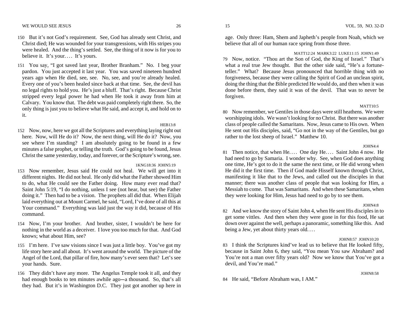- 150 But it's not God's requirement. See, God has already sent Christ, and Christ died; He was wounded for your transgressions, with His stripes you were healed. And the thing's settled. See, the thing of it now is for you to believe it. It's your.... It's yours.
- 151 You say, "I got saved last year, Brother Branham." No. I beg your pardon. You just accepted it last year. You was saved nineteen hundred years ago when He died, see, see. No, see, and you're already healed. Every one of you's been healed since back at that time. See, the devil has no legal rights to hold you. He's just a bluff. That's right. Because Christ stripped every legal power he had when He took it away from him at Calvary. You know that. The debt was paid completely right there. So, the only thing is just you to believe what He said, and accept it, and hold on to it.

#### $HEB13.8$

152 Now, now, here we got all the Scriptures and everything laying right out here. Now, will He do it? Now, the next thing, will He do it? Now, you see where I'm standing? I am absolutely going to be found in a few minutes a false prophet, or telling the truth. God's going to be found, Jesus Christ the same yesterday, today, and forever, or the Scripture's wrong, see.

#### 1KNG18:36 JOHN5:19

- 153 Now remember, Jesus said He could not heal. We will get into it different nights. He did not heal. He only did what the Father showed Him to do, what He could see the Father doing. How many ever read that? Saint John 5:19, "I do nothing, unless I see (not hear, but see) the Father doing it." Then had to be a vision. The prophets all did that. When Elijah laid everything out at Mount Carmel, he said, "Lord, I've done of all this at Your command." Everything was laid just the way it did, because of His command.
- 154 Now, I'm your brother. And brother, sister, I wouldn't be here for nothing in the world as a deceiver. I love you too much for that. And God knows; what about Him, see?
- 155 I'm here. I've saw visions since I was just a little boy. You've got my life story here and all about. It's went around the world. The picture of the Angel of the Lord, that pillar of fire, how many's ever seen that? Let's see your hands. Sure.
- 156 They didn't have any more. The Angelus Temple took it all, and they had enough books to ten minutes awhile ago—a thousand. So, that's all they had. But it's in Washington D.C. They just got another up here in

age. Only three: Ham, Shem and Japheth's people from Noah, which we believe that all of our human race spring from those three.

#### MATT12:24 MARK3:22 LUKE11:15 JOHN1:49

79 Now, notice. "Thou art the Son of God, the King of Israel." That's what a real true Jew thought. But the other side said, "He's a fortuneteller." What? Because Jesus pronounced that horrible thing with no forgiveness, because they were calling the Spirit of God an unclean spirit, doing the thing that the Bible predicted He would do, and then when it was done before them, they said it was of the devil. That was to never be forgiven.

#### MATT10:5

80 Now remember, we Gentiles in those days were still heathens. We were worshipping idols. We wasn't looking for no Christ. But there was another class of people called the Samaritans. Now, Jesus came to His own. When He sent out His disciples, said, "Go not in the way of the Gentiles, but go rather to the lost sheep of Israel." Matthew 10.

#### JOHN4:4

81 Then notice, that when He.... One day He.... Saint John 4 now. He had need to go by Samaria. I wonder why. See, when God does anything one time, He's got to do it the same the next time, or He did wrong when He did it the first time. Then if God made Hisself known through Christ, manifesting it like that to the Jews, and called out the disciples in that manner; there was another class of people that was looking for Him, a Messiah to come. That was Samaritans. And when these Samaritans, when they were looking for Him, Jesus had need to go by to see them.

#### JOHN4:8

82 And we know the story of Saint John 4, when He sent His disciples in to get some vittles. And then when they were gone in for this food, He sat down over against the well, perhaps a panoramic, something like this. And being a Jew, yet about thirty years old....

### JOHN8:57 JOHN10:20

83 I think the Scriptures kind've lead us to believe that He looked fifty, because in Saint John 6, they said, "You mean You saw Abraham? and You're not a man over fifty years old? Now we know that You've got a devil, and You're mad."

84 He said, "Before Abraham was, I AM."

JOHN8:58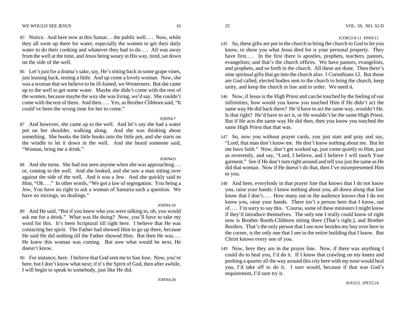- 85 Notice. And here now at this Samar... the public well.... Now, while they all went up there for water, especially the women to get their daily water to do their cooking and whatever they had to do.... All was away from the well at the time, and Jesus being weary in His way, tired, sat down on the side of the well.
- 86 Let's just for a drama's sake, say, He's sitting back in some grape vines, just leaning back, resting a little. And up come a lovely woman. Now, she was a woman that we believe to be ill-famed, we Westerners. But she came up to the well to get some water. Maybe she didn't come with the rest of the women, because maybe the way she was living, we'd say. She couldn't come with the rest of them. And then. . . . Yes, as Brother Clibborn said, "It could've been the wrong time for her to come."

JOHN4:7 87 And however, she came up to the well. And let's say she had a water pot on her shoulder, walking along. And she was thinking about something. She hooks the little hooks into the little pot, and she starts on the windle to let it down in the well. And she heard someone said, "Woman, bring me a drink."

JOHN4:9

88 And she turns. She had not seen anyone when she was approaching . . . or, coming to the well. And she looked, and she saw a man sitting over against the side of the well. And it was a Jew. And she quickly said to Him, "Oh...." In other words, "We got a law of segregation. You being a Jew, You have no right to ask a woman of Samaria such a question. We have no mixings, no dealings."

 $JOHM4:10$ 

- 89 And He said, "But if you knew who you were talking to, oh, you would ask me for a drink." What was He doing? Now, you'll have to take my word for this. It's been Scriptural till right here. I believe that He was contacting her spirit. The Father had showed Him to go up there, because He said He did nothing till the Father showed Him. But then He was. . . . He knew this woman was coming. But now what would be next, He doesn't know.
- 90 For instance, here. I believe that God sent me to San Jose. Now, you're here, but I don't know what next; if it's the Spirit of God, then after awhile, I will begin to speak to somebody, just like He did.
- 145 So, these gifts are put in the church to bring the church to God to let you know, to show you what Jesus died for is your personal property. They have first.... In the first there is apostles, prophets, teachers, pastors, evangelists; and that's the church offices. We have pastors, evangelists, and prophets, and so forth in the church. All these are done. Then there's nine spiritual gifts that go into the church also: I Corinthians 12. But those are God called, elected bodies sent to the church to bring the church, keep unity, and keep the church in line and in order. We need it.
- 146 Now, if Jesus is the High Priest and can be touched by the feeling of our infirmities, how would you know you touched Him if He didn't act the same way He did back there? He'd have to act the same way, wouldn't He. Is that right? He'd have to act it, or He wouldn't be the same High Priest. But if He acts the same way He did then, then you know you touched the same High Priest that that was.
- 147 So, now you without prayer cards, you just start and pray and say, "Lord, that man don't know me. He don't know nothing about me. But let me have faith." Now, don't get worked up, just come quietly to Him, just as reverently, and say, "Lord, I believe, and I believe I will touch Your garment." See if He don't turn right around and tell you just the same as He did that woman. Now if He doesn't do that, then I've misrepresented Him to you.
- 148 And here, everybody in that prayer line that knows that I do not know you, raise your hands: I know nothing about you, all down along that line know that I don't.... How many out in the audience knows that I do not know you, raise your hands. There isn't a person here that I know, out of. . . . I'm sorry to say this. 'Course, some of these ministers I might know if they'd introduce themselves. The only one I really could know of right now is Brother Booth-Clibborn sitting there (That's right.), and Brother Borders. That's the only person that I see now besides my boy over here in the corner, is the only one that I see in the entire building that I know. But Christ knows every one of you.
- 149 Now, here they are in the prayer line. Now, if there was anything I could do to heal you, I'd do it. If I know that crawling on my knees and pushing a quarter all the way around this city here with my nose would heal you, I'd take off to do it. I sure would, because if that was God's requirement, I'd sure try it.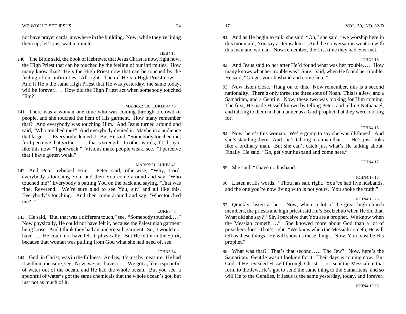not have prayer cards, anywhere in the building. Now, while they're lining them up, let's just wait a minute.

HEB4:15 140 The Bible said, the book of Hebrews, that Jesus Christ is now, right now,

the High Priest that can be touched by the feeling of our infirmities. How many know that? He's the High Priest now that can be touched by the feeling of our infirmities. All right. Then if He's a High Priest now.... And if He's the same High Priest that He was yesterday, the same today, will be forever.... How did the High Priest act when somebody touched Him?

# MARK5:27,30 LUKE8:44,45

141 There was a woman one time who was coming through a crowd of people, and she touched the hem of His garment. How many remember that? And everybody was touching Him. And Jesus turned around and said, "Who touched me?" And everybody denied it. Maybe in a audience that large. . . . Everybody denied it. But He said, "Somebody touched me, for I perceive that virtue...."—that's strength. In other words, if I'd say it like this now, "I got weak." Visions make people weak, see. "I perceive that I have gotten weak."

# MARK5:31 LUKE8:45

142 And Peter rebuked Him. Peter said, otherwise, "Why, Lord, everybody's touching You, and then You come around and say, 'Who touched me?' Everybody's patting You on the back and saying, 'That was fine, Reverend. We're sure glad to see You, sir,' and all like this. Everybody's touching. And then come around and say, 'Who touched me?"

#### LUKE8:46

143 He said, "But, that was a different touch," see. "Somebody touched. . . ." Now physically, He could not have felt it, because the Palestinian garment hung loose. And I think they had an underneath garment. So, it would not have.... He could not have felt it, physically. But He felt it in the Spirit, because that woman was pulling from God what she had need of, see.

#### JOHN3:34

144 God, in Christ, was in the fullness. And us, it's just by measure. He had it without measure, see. Now, we just have a. . . . We got a, like a spoonful of water out of the ocean, and He had the whole ocean. But you see, a spoonful of water's got the same chemicals that the whole ocean's got, but just not as much of it.

91 And as He begin to talk, she said, "Oh," she said, "we worship here in this mountain; You say at Jerusalem." And the conversation went on with this man and woman. Now remember, the first time they had ever met. . . .

#### JOHN4:16

92 And Jesus said to her after He'd found what was her trouble. . . . How many knows what her trouble was? Sure. Said, when He found her trouble, He said, "Go get your husband and come here."

93 Now listen close. Hang on to this. Now remember, this is a second nationality. There's only three, the three sons of Noah. This is a Jew, and a Samaritan, and a Gentile. Now, these two was looking for Him coming. The first, He made Hisself known by telling Peter, and telling Nathanael, and talking to them in that manner as a God-prophet that they were looking for.

#### $JOHM4:16$

94 Now, here's this woman. We're going to say she was ill-famed. And she's standing there. And she's talking to a man that.... He's just looks like a ordinary man. But she can't catch just what's He talking about. Finally, He said, "Go, get your husband and come here."

95 She said, "I have no husband."

#### JOHN4:17,18

JOHN4:17

96 Listen at His words. "Thou has said right. You've had five husbands, and the one you're now living with is not yours. You spoke the truth."

#### JOHN4:19,25

97 Quickly, listen at her. Now, where a lot of the great high church members, the priests and high priest said He's Beelzebub when He did that. What did she say? "Sir, I perceive that You are a prophet. We know when the Messiah cometh. . . ." She knowed more about God than a lot of preachers does. That's right. "We know when the Messiah cometh, He will tell us these things. He will show us these things. Now, You must be His prophet."

98 What was that? That's that second.... The Jew? Now, here's the Samaritan. Gentile wasn't looking for it. Their days is coming now. But God, if He revealed Hisself through Christ . . . or, sent the Messiah in that form to the Jew, He's got to send the same thing to the Samaritans, and so will He to the Gentiles, if Jesus is the same yesterday, today, and forever.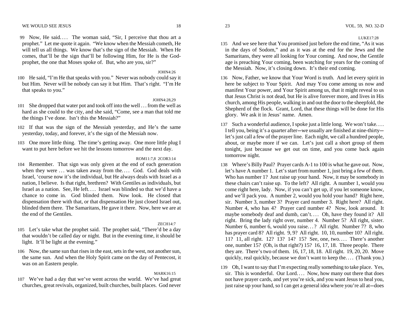99 Now, He said.... The woman said, "Sir, I perceive that thou art a prophet." Let me quote it again. "We know when the Messiah cometh, He will tell us all things. We know that's the sign of the Messiah. When He comes, that'll be the sign that'll be following Him, for He is the Godprophet, the one that Moses spoke of. But, who are you, sir?"

JOHN4:26

100 He said, "I'm He that speaks with you." Never was nobody could say it but Him. Never will be nobody can say it but Him. That's right. "I'm He that speaks to you."

# $IOHN4.28,29$

- 101 She dropped that water pot and took off into the well . . . from the well as hard as she could to the city, and she said, "Come, see a man that told me the things I've done. Isn't this the Messiah?"
- 102 If that was the sign of the Messiah yesterday, and He's the same yesterday, today, and forever, it's the sign of the Messiah now.
- 103 One more little thing. The time's getting away. One more little plug I want to put here before we hit the lessons tomorrow and the next day.

ROM11:7,8 2COR3:14

104 Remember. That sign was only given at the end of each generation when they were ... was taken away from the.... God. God deals with Israel, 'course now it's the individual, but He always deals with Israel as a nation, I believe. Is that right, brethren? With Gentiles as individuals, but Israel as a nation. See, He left.... Israel was blinded so that we'd have a chance to come in. God blinded them. Now look. He closed that dispensation there with that, or that dispensation He just closed Israel out, blinded them there. The Samaritans, He gave it there. Now, here we are at the end of the Gentiles.

#### ZECH14:7

- 105 Let's take what the prophet said. The prophet said, "There'd be a day that wouldn't be called day or night. But in the evening time, it should be light. It'll be light at the evening."
- 106 Now, the same sun that rises in the east, sets in the west, not another sun, the same sun. And when the Holy Spirit came on the day of Pentecost, it was on an Eastern people.

#### MARK16:15

107 We've had a day that we've went across the world. We've had great churches, great revivals, organized, built churches, built places. God never

LUKE17:28

- 135 And we see here that You promised just before the end time, "As it was in the days of Sodom," and as it was at the end for the Jews and the Samaritans, they were all looking for Your coming. And now, the Gentile age is preaching Your coming, been watching for years for the coming of the Messiah. Now, it's closing down. It's their end coming.
- 136 Now, Father, we know that Your Word is truth. And let every spirit in here be subject to Your Spirit. And may You come among us now and manifest Your power, and Your Spirit among us, that it might reveal to us that Jesus Christ is not dead, but He is alive forever more, and lives in His church, among His people, walking in and out the door to the sheepfold, the Shepherd of the flock. Grant, Lord, that these things will be done for His glory. We ask it in Jesus' name. Amen.
- 137 Such a wonderful audience, I spoke just a little long. We won't take. . . . I tell you, being it's a quarter after-we usually are finished at nine-thirty-let's just call a few of the prayer line. Each night, we call a hundred people, about, or maybe more if we can. Let's just call a short group of them tonight, just because we get out on time, and you come back again tomorrow night.
- 138 Where's Billy Paul? Prayer cards A-1 to 100 is what he gave out. Now, let's have A number 1. Let's start from number 1, just bring a few of them. Who has number 1? Just raise up your hand. Now, it may be somebody in these chairs can't raise up. To the left? All right. A number 1, would you come right here, lady. Now, if you can't get up, if you let someone know, and we'll pack you. A number 2, would you hold your hand? Right here, sir. Number 3, number 3? Prayer card number 3. Right here? All right. Number 4, who has 4? Prayer card number 4? Now, look around. It maybe somebody deaf and dumb, can't.... Oh, have they found it? All right. Bring the lady right over, number 4. Number 5? All right, sister. Number 6, number 6, would you raise...? All right. Number 7? 8, who has prayer card 8? All right. 9, 9? All right. 10, 10, number 10? All right. 11? 11, all right. 12? 13? 14? 15? See, one, two.... There's another one, number 15? (Oh, is that right?) 15? 16, 17, 18. Three people. There they are. There's two of them. 16, 17, 18, 18. All right. 19, 20, 20. Move quickly, real quickly, because we don't want to keep the.... (Thank you.)
- 139 Oh, I want to say that I'm expecting really something to take place. Yes, sir. This is wonderful. Our Lord.... Now, how many out there that does not have prayer cards, and yet you're sick, and you want Jesus to heal you, just raise up your hand, so I can get a general idea where you're all at—does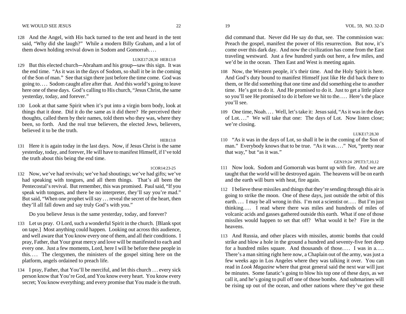128 And the Angel, with His back turned to the tent and heard in the tent said, "Why did she laugh?" While a modern Billy Graham, and a lot of them down holding revival down in Sodom and Gomorrah. . . .

#### LUKE17:28,30 HEB13:8

- 129 But this elected church---Abraham and his group--saw this sign. It was the end time. "As it was in the days of Sodom, so shall it be in the coming of the Son of man." See that sign there just before the time come. God was going to. . . . Sodom caught afire after that. And this world's going to leave here one of these days. God's calling to His church, "Jesus Christ, the same yesterday, today, and forever."
- 130 Look at that same Spirit when it's put into a virgin born body, look at things that it done. Did it do the same as it did there? He perceived their thoughts, called them by their names, told them who they was, where they been, so forth. And the real true believers, the elected Jews, believers, believed it to be the truth.

### $HER13.8$

131 Here it is again today in the last days. Now, if Jesus Christ is the same yesterday, today, and forever, He will have to manifest Himself, if I've told the truth about this being the end time.

# 1COR14:23-25

132 Now, we've had revivals; we've had shoutings; we've had gifts; we've had speaking with tongues, and all them things. That's all been the Pentecostal's revival. But remember, this was promised. Paul said, "If you speak with tongues, and there be no interpreter, they'll say you're mad." But said, "When one prophet will say . . . reveal the secret of the heart, then they'll all fall down and say truly God's with you."

Do you believe Jesus is the same yesterday, today, and forever?

- 133 Let us pray. O Lord, such a wonderful Spirit in the church. [Blank spot on tape.] Most anything could happen. Looking out across this audience, and well aware that You know every one of them, and all their conditions. I pray, Father, that Your great mercy and love will be manifested to each and every one. Just a few moments, Lord, here I will be before these people in this.... The clergymen, the ministers of the gospel sitting here on the platform, angels ordained to preach life.
- 134 I pray, Father, that You'll be merciful, and let this church . . . every sick person know that You're God, and You know every heart. You know every secret; You know everything; and every promise that You made is the truth.

did command that. Never did He say do that, see. The commission was: Preach the gospel, manifest the power of His resurrection. But now, it's come over this dark day. And now the civilization has come from the East traveling westward. Just a few hundred yards out here, a few miles, and we'd be in the ocean. Then East and West is meeting again.

- 108 Now, the Western people, it's their time. And the Holy Spirit is here. And God's duty bound to manifest Himself just like He did back there to them, or He did something that one time and did something else to another time. He's got to do it. And He promised to do it. Just to get a little place so you'll see He promised to do it before we hit to the. . . . Here's the place you'll see.
- 109 One time, Noah.... Well, let's take it: Jesus said, "As it was in the days of Lot...." We will take that one: The days of Lot. Now listen close; we're closing.

# LUKE17:28,30

<sup>110</sup>"As it was in the days of Lot, so shall it be in the coming of the Son of man." Everybody knows that to be true. "As it was. . . ." Not, "pretty near that way," but "as it was."

# GEN19:24 2PET3:7,10,12

- 111 Now look. Sodom and Gomorrah was burnt up with fire. And we are taught that the world will be destroyed again. The heavens will be on earth and the earth will burn with heat, fire again.
- 112 I believe these missiles and things that they're sending through this air is going to strike the moon. One of these days, just outside the orbit of this earth.... I may be all wrong in this. I'm not a scientist or.... But I'm just thinking. . . . I read where there was miles and hundreds of miles of volcanic acids and gasses gathered outside this earth. What if one of those missiles would happen to set that off? What would it be? Fire in the heavens.
- 113 And Russia, and other places with missiles, atomic bombs that could strike and blow a hole in the ground a hundred and seventy-five feet deep for a hundred miles square. And thousands of those.... I was in  $a$ .... There's a man sitting right here now, a Chaplain out of the army, was just a few weeks ago in Los Angeles where they was talking it over. You can read in *Look Magazine* where that great general said the next war will just be minutes. Some fanatic's going to blow his top one of these days, as we call it, and he's going to pull off one of those bombs. And submarines will be rising up out of the ocean, and other nations where they've got these